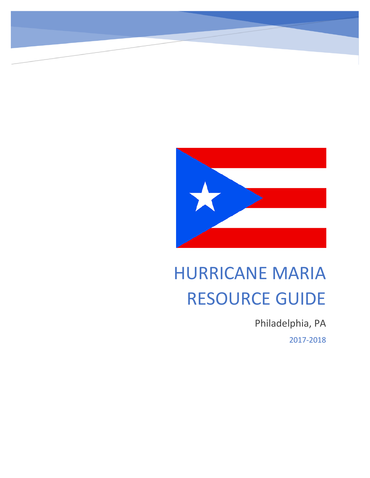

# HURRICANE MARIA RESOURCE GUIDE

Philadelphia, PA 2017-2018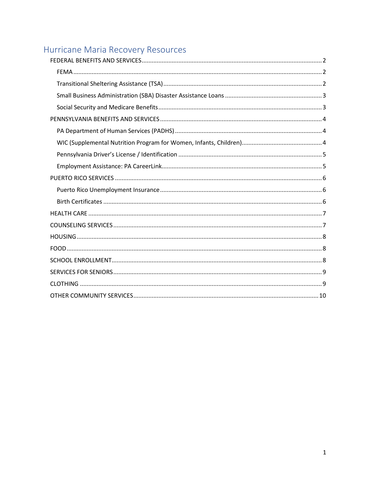## Hurricane Maria Recovery Resources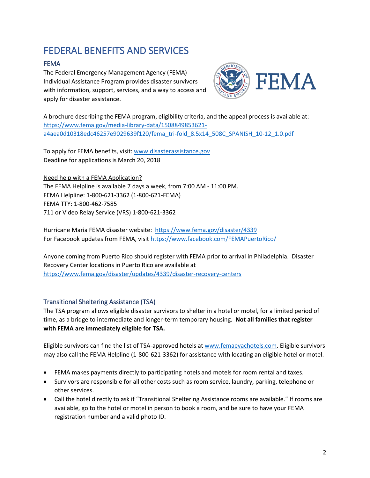## <span id="page-2-0"></span>FEDERAL BENEFITS AND SERVICES

### <span id="page-2-1"></span>FEMA

The Federal Emergency Management Agency (FEMA) Individual Assistance Program provides disaster survivors with information, support, services, and a way to access and apply for disaster assistance.



A brochure describing the FEMA program, eligibility criteria, and the appeal process is available at: [https://www.fema.gov/media-library-data/1508849853621](https://www.fema.gov/media-library-data/1508849853621-a4aea0d10318edc46257e9029639f120/fema_tri-fold_8.5x14_508C_SPANISH_10-12_1.0.pdf) [a4aea0d10318edc46257e9029639f120/fema\\_tri-fold\\_8.5x14\\_508C\\_SPANISH\\_10-12\\_1.0.pdf](https://www.fema.gov/media-library-data/1508849853621-a4aea0d10318edc46257e9029639f120/fema_tri-fold_8.5x14_508C_SPANISH_10-12_1.0.pdf)

To apply for FEMA benefits, visit[: www.disasterassistance.gov](http://www.disasterassistance.gov/) Deadline for applications is March 20, 2018

Need help with a FEMA Application? The FEMA Helpline is available 7 days a week, from 7:00 AM - 11:00 PM. FEMA Helpline: 1-800-621-3362 (1-800-621-FEMA) FEMA TTY: 1-800-462-7585 711 or Video Relay Service (VRS) 1-800-621-3362

Hurricane Maria FEMA disaster website:<https://www.fema.gov/disaster/4339> For Facebook updates from FEMA, visit<https://www.facebook.com/FEMAPuertoRico/>

Anyone coming from Puerto Rico should register with FEMA prior to arrival in Philadelphia. Disaster Recovery Center locations in Puerto Rico are available at <https://www.fema.gov/disaster/updates/4339/disaster-recovery-centers>

#### <span id="page-2-2"></span>Transitional Sheltering Assistance (TSA)

The TSA program allows eligible disaster survivors to shelter in a hotel or motel, for a limited period of time, as a bridge to intermediate and longer-term temporary housing. **Not all families that register with FEMA are immediately eligible for TSA.**

Eligible survivors can find the list of TSA-approved hotels a[t www.femaevachotels.com.](http://www.femaevachotels.com/) Eligible survivors may also call the FEMA Helpline (1-800-621-3362) for assistance with locating an eligible hotel or motel.

- FEMA makes payments directly to participating hotels and motels for room rental and taxes.
- Survivors are responsible for all other costs such as room service, laundry, parking, telephone or other services.
- Call the hotel directly to ask if "Transitional Sheltering Assistance rooms are available." If rooms are available, go to the hotel or motel in person to book a room, and be sure to have your FEMA registration number and a valid photo ID.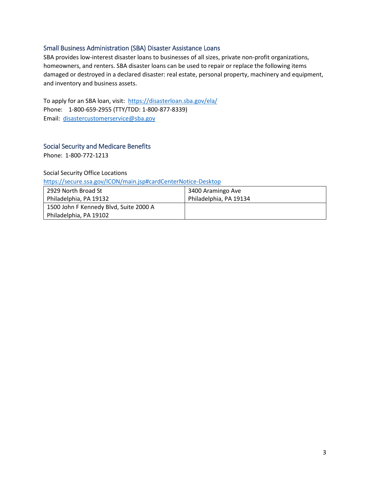#### <span id="page-3-0"></span>Small Business Administration (SBA) Disaster Assistance Loans

SBA provides low-interest disaster loans to businesses of all sizes, private non-profit organizations, homeowners, and renters. SBA disaster loans can be used to repair or replace the following items damaged or destroyed in a declared disaster: real estate, personal property, machinery and equipment, and inventory and business assets.

To apply for an SBA loan, visit: <https://disasterloan.sba.gov/ela/> Phone: 1-800-659-2955 (TTY/TDD: 1-800-877-8339) Email: [disastercustomerservice@sba.gov](mailto:disastercustomerservice@sba.gov)

#### <span id="page-3-1"></span>Social Security and Medicare Benefits

Phone: 1-800-772-1213

Social Security Office Locations

<https://secure.ssa.gov/ICON/main.jsp#cardCenterNotice-Desktop>

| 2929 North Broad St                    | 3400 Aramingo Ave      |
|----------------------------------------|------------------------|
| Philadelphia, PA 19132                 | Philadelphia, PA 19134 |
| 1500 John F Kennedy Blvd, Suite 2000 A |                        |
| Philadelphia, PA 19102                 |                        |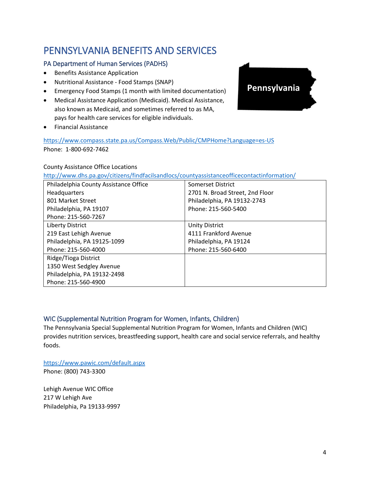### <span id="page-4-0"></span>PENNSYLVANIA BENEFITS AND SERVICES

#### <span id="page-4-1"></span>PA Department of Human Services (PADHS)

- Benefits Assistance Application
- Nutritional Assistance Food Stamps (SNAP)
- Emergency Food Stamps (1 month with limited documentation)
- Medical Assistance Application (Medicaid). Medical Assistance, also known as Medicaid, and sometimes referred to as MA, pays for health care services for eligible individuals.
- Financial Assistance

<https://www.compass.state.pa.us/Compass.Web/Public/CMPHome?Language=es-US> Phone: 1-800-692-7462

#### County Assistance Office Locations

<http://www.dhs.pa.gov/citizens/findfacilsandlocs/countyassistanceofficecontactinformation/>

| Philadelphia County Assistance Office | Somerset District               |
|---------------------------------------|---------------------------------|
| Headquarters                          | 2701 N. Broad Street, 2nd Floor |
| 801 Market Street                     | Philadelphia, PA 19132-2743     |
| Philadelphia, PA 19107                | Phone: 215-560-5400             |
| Phone: 215-560-7267                   |                                 |
| <b>Liberty District</b>               | <b>Unity District</b>           |
| 219 East Lehigh Avenue                | 4111 Frankford Avenue           |
| Philadelphia, PA 19125-1099           | Philadelphia, PA 19124          |
| Phone: 215-560-4000                   | Phone: 215-560-6400             |
| Ridge/Tioga District                  |                                 |
| 1350 West Sedgley Avenue              |                                 |
| Philadelphia, PA 19132-2498           |                                 |
| Phone: 215-560-4900                   |                                 |

#### <span id="page-4-2"></span>WIC (Supplemental Nutrition Program for Women, Infants, Children)

The Pennsylvania Special Supplemental Nutrition Program for Women, Infants and Children (WIC) provides nutrition services, breastfeeding support, health care and social service referrals, and healthy foods.

<https://www.pawic.com/default.aspx>

Phone: (800) 743-3300

Lehigh Avenue WIC Office 217 W Lehigh Ave Philadelphia, Pa 19133-9997

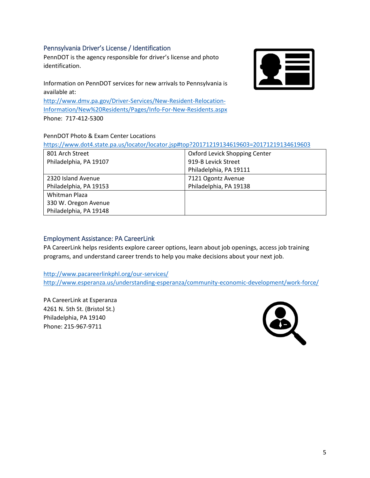#### <span id="page-5-0"></span>Pennsylvania Driver's License / Identification

PennDOT is the agency responsible for driver's license and photo identification.

Information on PennDOT services for new arrivals to Pennsylvania is available at:

[http://www.dmv.pa.gov/Driver-Services/New-Resident-Relocation-](http://www.dmv.pa.gov/Driver-Services/New-Resident-Relocation-Information/New%20Residents/Pages/Info-For-New-Residents.aspx)[Information/New%20Residents/Pages/Info-For-New-Residents.aspx](http://www.dmv.pa.gov/Driver-Services/New-Resident-Relocation-Information/New%20Residents/Pages/Info-For-New-Residents.aspx) Phone: 717-412-5300

#### PennDOT Photo & Exam Center Locations

| https://www.dot4.state.pa.us/locator/locator.jsp#top?20171219134619603=20171219134619603 |
|------------------------------------------------------------------------------------------|
|------------------------------------------------------------------------------------------|

| 801 Arch Street        | Oxford Levick Shopping Center |
|------------------------|-------------------------------|
| Philadelphia, PA 19107 | 919-B Levick Street           |
|                        | Philadelphia, PA 19111        |
| 2320 Island Avenue     | 7121 Ogontz Avenue            |
| Philadelphia, PA 19153 | Philadelphia, PA 19138        |
| <b>Whitman Plaza</b>   |                               |
| 330 W. Oregon Avenue   |                               |
| Philadelphia, PA 19148 |                               |

#### <span id="page-5-1"></span>Employment Assistance: PA CareerLink

PA CareerLink helps residents explore career options, learn about job openings, access job training programs, and understand career trends to help you make decisions about your next job.

<http://www.pacareerlinkphl.org/our-services/> <http://www.esperanza.us/understanding-esperanza/community-economic-development/work-force/>

PA CareerLink at Esperanza 4261 N. 5th St. (Bristol St.) Philadelphia, PA 19140 Phone: 215-967-9711

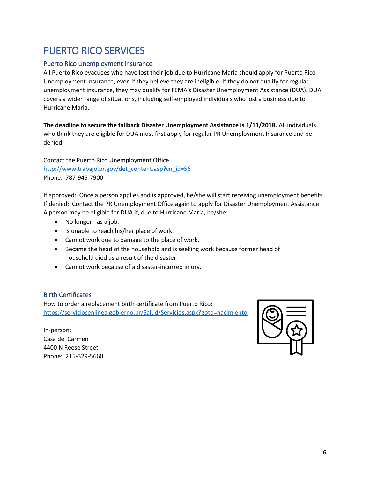### <span id="page-6-0"></span>PUERTO RICO SERVICES

#### <span id="page-6-1"></span>Puerto Rico Unemployment Insurance

All Puerto Rico evacuees who have lost their job due to Hurricane Maria should apply for Puerto Rico Unemployment Insurance, even if they believe they are ineligible. If they do not qualify for regular unemployment insurance, they may qualify for FEMA's Disaster Unemployment Assistance (DUA). DUA covers a wider range of situations, including self-employed individuals who lost a business due to Hurricane Maria.

**The deadline to secure the fallback Disaster Unemployment Assistance is 1/11/2018.** All individuals who think they are eligible for DUA must first apply for regular PR Unemployment Insurance and be denied.

Contact the Puerto Rico Unemployment Office [http://www.trabajo.pr.gov/det\\_content.asp?cn\\_id=56](http://www.trabajo.pr.gov/det_content.asp?cn_id=56) Phone: 787-945-7900

If approved: Once a person applies and is approved, he/she will start receiving unemployment benefits If denied: Contact the PR Unemployment Office again to apply for Disaster Unemployment Assistance A person may be eligible for DUA if, due to Hurricane Maria, he/she:

- No longer has a job.
- Is unable to reach his/her place of work.
- Cannot work due to damage to the place of work.
- Became the head of the household and is seeking work because former head of household died as a result of the disaster.
- Cannot work because of a disaster-incurred injury.

#### <span id="page-6-2"></span>Birth Certificates

How to order a replacement birth certificate from Puerto Rico: <https://serviciosenlinea.gobierno.pr/Salud/Servicios.aspx?goto=nacimiento>

In-person: Casa del Carmen 4400 N Reese Street Phone: 215-329-5660

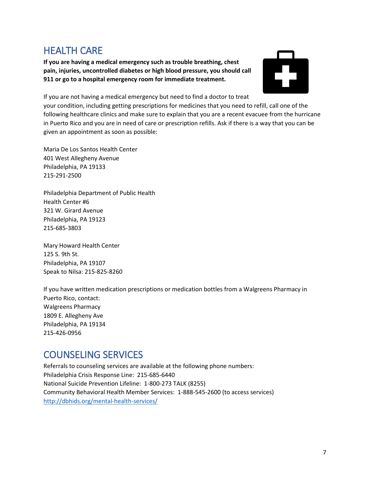### <span id="page-7-0"></span>HEALTH CARE

**If you are having a medical emergency such as trouble breathing, chest pain, injuries, uncontrolled diabetes or high blood pressure, you should call 911 or go to a hospital emergency room for immediate treatment.**



If you are not having a medical emergency but need to find a doctor to treat

your condition, including getting prescriptions for medicines that you need to refill, call one of the following healthcare clinics and make sure to explain that you are a recent evacuee from the hurricane in Puerto Rico and you are in need of care or prescription refills. Ask if there is a way that you can be given an appointment as soon as possible:

Maria De Los Santos Health Center 401 West Allegheny Avenue Philadelphia, PA 19133 215-291-2500

Philadelphia Department of Public Health Health Center #6 321 W. Girard Avenue Philadelphia, PA 19123 215-685-3803

Mary Howard Health Center 125 S. 9th St. Philadelphia, PA 19107 Speak to Nilsa: 215-825-8260

If you have written medication prescriptions or medication bottles from a Walgreens Pharmacy in Puerto Rico, contact: Walgreens Pharmacy 1809 E. Allegheny Ave Philadelphia, PA 19134 215-426-0956

### <span id="page-7-1"></span>COUNSELING SERVICES

Referrals to counseling services are available at the following phone numbers: Philadelphia Crisis Response Line: 215-685-6440 National Suicide Prevention Lifeline: 1-800-273 TALK (8255) Community Behavioral Health Member Services: 1-888-545-2600 (to access services) <http://dbhids.org/mental-health-services/>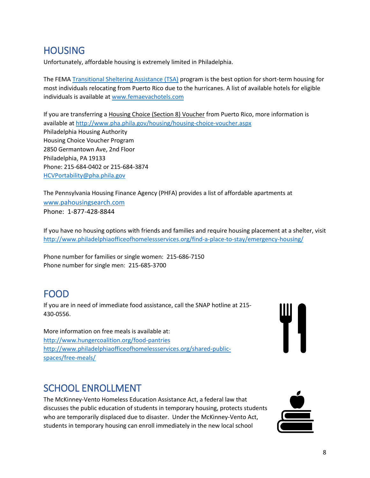### <span id="page-8-0"></span>**HOUSING**

Unfortunately, affordable housing is extremely limited in Philadelphia.

The FEMA [Transitional Sheltering Assistance \(TSA\)](#page-2-2) program is the best option for short-term housing for most individuals relocating from Puerto Rico due to the hurricanes. A list of available hotels for eligible individuals is available at [www.femaevachotels.com](http://www.femaevachotels.com/)

If you are transferring a Housing Choice (Section 8) Voucher from Puerto Rico, more information is available a[t http://www.pha.phila.gov/housing/housing-choice-voucher.aspx](http://www.pha.phila.gov/housing/housing-choice-voucher.aspx) Philadelphia Housing Authority Housing Choice Voucher Program 2850 Germantown Ave, 2nd Floor Philadelphia, PA 19133 Phone: 215-684-0402 or 215-684-3874 [HCVPortability@pha.phila.gov](mailto:HCVPortability@pha.phila.gov)

The Pennsylvania Housing Finance Agency (PHFA) provides a list of affordable apartments at w[ww.pahousingsearch.com](http://www.pahousingsearch.com/) Phone: 1-877-428-8844

If you have no housing options with friends and families and require housing placement at a shelter, visit <http://www.philadelphiaofficeofhomelessservices.org/find-a-place-to-stay/emergency-housing/>

Phone number for families or single women: 215-686-7150 Phone number for single men: 215-685-3700

### <span id="page-8-1"></span>FOOD

If you are in need of immediate food assistance, call the SNAP hotline at 215- 430-0556.

More information on free meals is available at: <http://www.hungercoalition.org/food-pantries> [http://www.philadelphiaofficeofhomelessservices.org/shared-public](http://www.philadelphiaofficeofhomelessservices.org/shared-public-spaces/free-meals/)[spaces/free-meals/](http://www.philadelphiaofficeofhomelessservices.org/shared-public-spaces/free-meals/)

### <span id="page-8-2"></span>SCHOOL ENROLLMENT

The McKinney-Vento Homeless Education Assistance Act, a federal law that discusses the public education of students in temporary housing, protects students who are temporarily displaced due to disaster. Under the McKinney-Vento Act, students in temporary housing can enroll immediately in the new local school

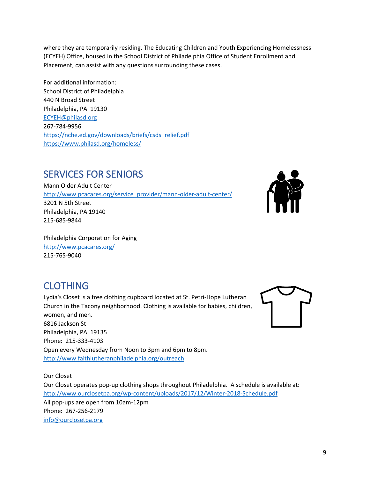where they are temporarily residing. The Educating Children and Youth Experiencing Homelessness (ECYEH) Office, housed in the School District of Philadelphia Office of Student Enrollment and Placement, can assist with any questions surrounding these cases.

For additional information: School District of Philadelphia 440 N Broad Street Philadelphia, PA 19130 [ECYEH@philasd.org](mailto:ECYEH@philasd.org) 267-784-9956 [https://nche.ed.gov/downloads/briefs/csds\\_relief.pdf](https://nche.ed.gov/downloads/briefs/csds_relief.pdf) <https://www.philasd.org/homeless/>

### <span id="page-9-0"></span>SERVICES FOR SENIORS

Mann Older Adult Center [http://www.pcacares.org/service\\_provider/mann-older-adult-center/](http://www.pcacares.org/service_provider/mann-older-adult-center/) 3201 N 5th Street Philadelphia, PA 19140 215-685-9844



Philadelphia Corporation for Aging <http://www.pcacares.org/> 215-765-9040

### <span id="page-9-1"></span>**CLOTHING**

Lydia's Closet is a free clothing cupboard located at St. Petri-Hope Lutheran Church in the Tacony neighborhood. Clothing is available for babies, children, women, and men. 6816 Jackson St Philadelphia, PA 19135 Phone: 215-333-4103 Open every Wednesday from Noon to 3pm and 6pm to 8pm. <http://www.faithlutheranphiladelphia.org/outreach>

Our Closet Our Closet operates pop-up clothing shops throughout Philadelphia. A schedule is available at: <http://www.ourclosetpa.org/wp-content/uploads/2017/12/Winter-2018-Schedule.pdf> All pop-ups are open from 10am-12pm Phone: 267-256-2179 [info@ourclosetpa.org](mailto:info@ourclosetpa.org)